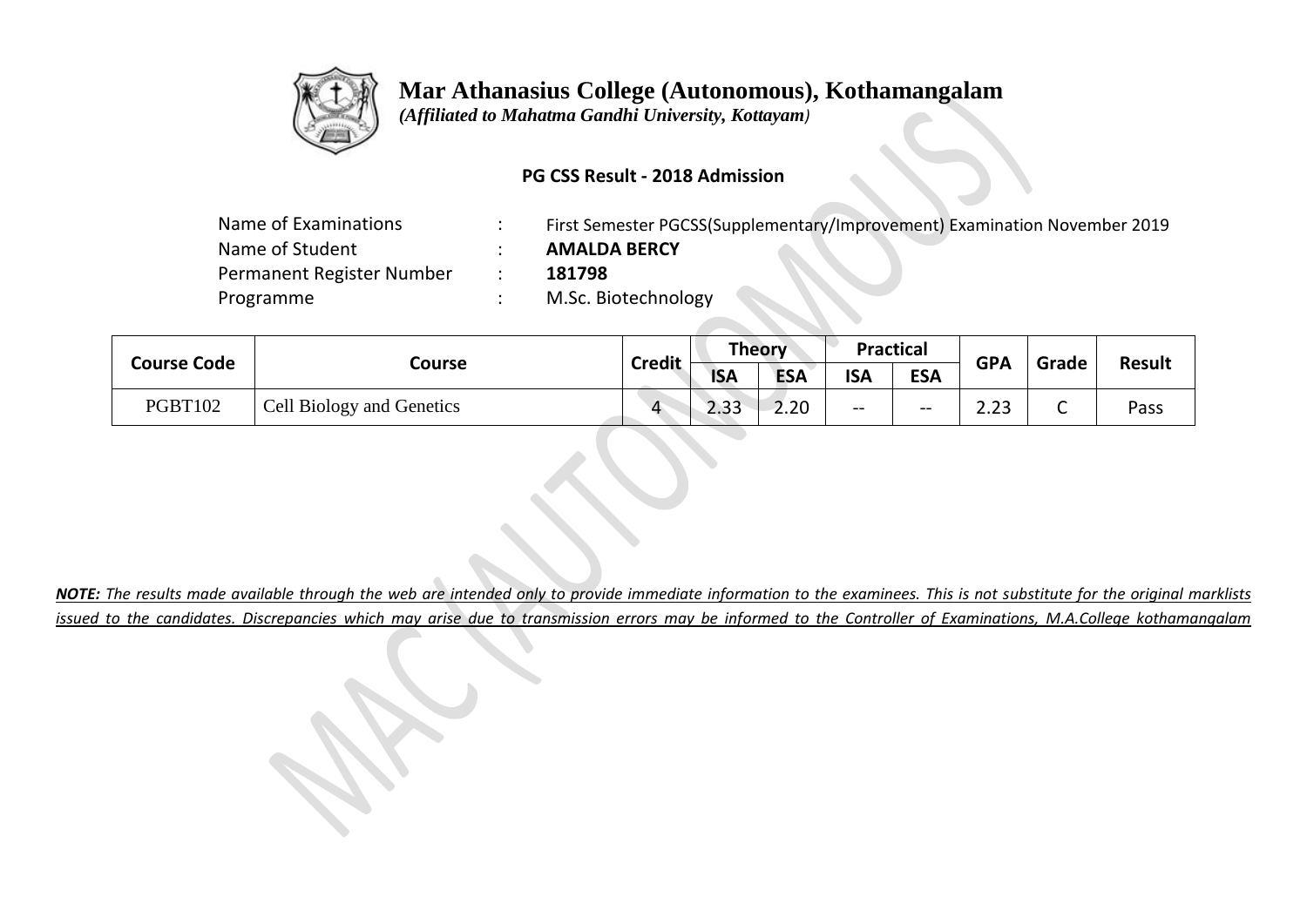

 *(Affiliated to Mahatma Gandhi University, Kottayam)*

### **PG CSS Result - 2018 Admission**

| Name of Examinations      | First Semester PGCSS(Supplementary/Improvement) Examination November 2019 |
|---------------------------|---------------------------------------------------------------------------|
| Name of Student           | <b>AMALDA BERCY</b>                                                       |
| Permanent Register Number | 181798                                                                    |
| Programme                 | M.Sc. Biotechnology                                                       |
|                           |                                                                           |

|  | <b>Course Code</b> |                           | <b>Credit</b> | Theory     |            | <b>Practical</b> |            | <b>GPA</b>           | Grade  | <b>Result</b> |
|--|--------------------|---------------------------|---------------|------------|------------|------------------|------------|----------------------|--------|---------------|
|  |                    | Course                    |               | <b>ISA</b> | <b>ESA</b> | <b>ISA</b>       | <b>ESA</b> |                      |        |               |
|  | <b>PGBT102</b>     | Cell Biology and Genetics |               | ാറ<br>دد.ع | 2.20       | $- -$            | $- -$      | $\mathbf{a}$<br>د.د. | ∽<br>֊ | Pass          |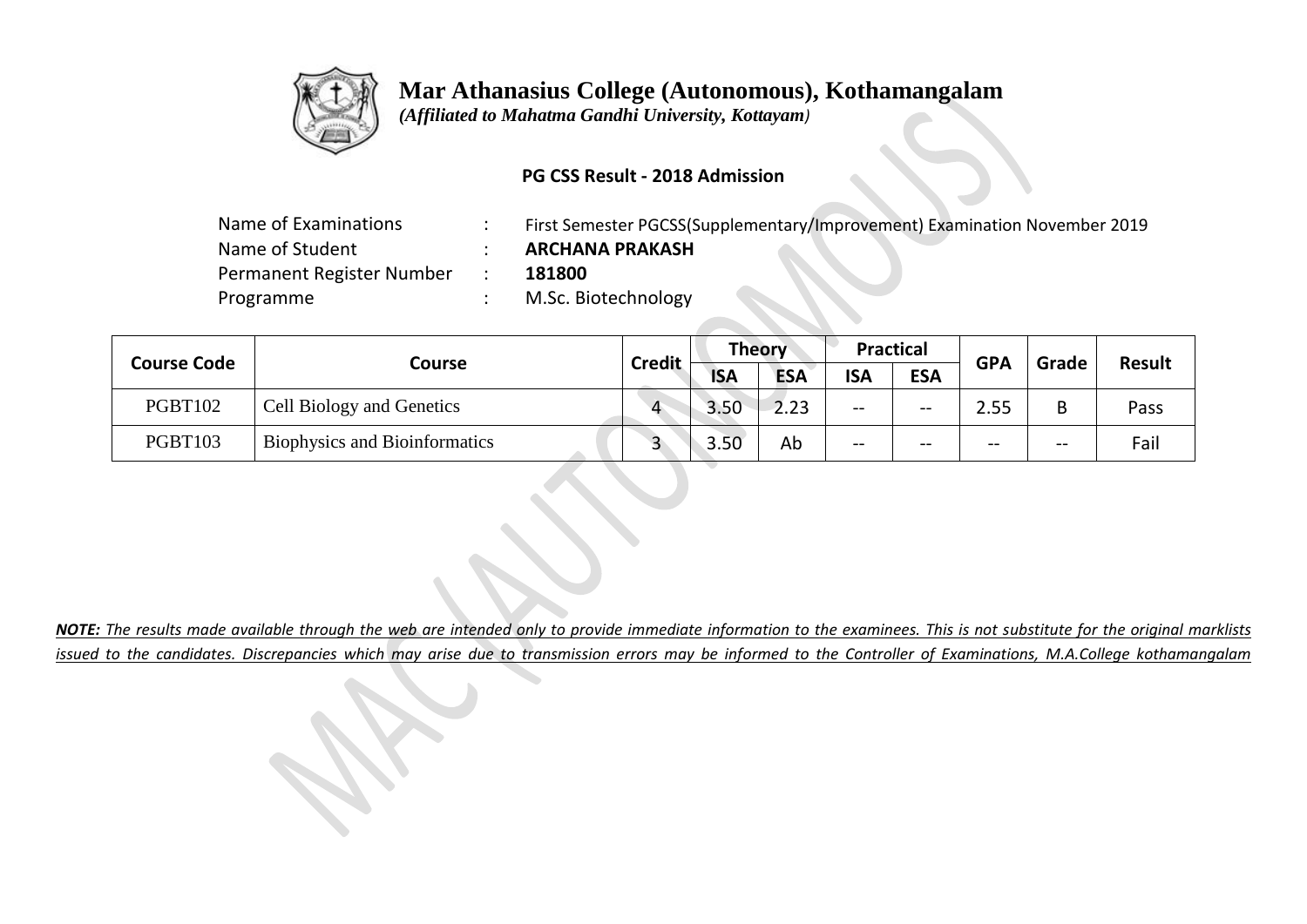

 *(Affiliated to Mahatma Gandhi University, Kottayam)*

### **PG CSS Result - 2018 Admission**

| Name of Examinations      | First Semester PGCSS(Supplementary/Improvement) Examination November 2019 |
|---------------------------|---------------------------------------------------------------------------|
| Name of Student           | <b>ARCHANA PRAKASH</b>                                                    |
| Permanent Register Number | 181800                                                                    |
| Programme                 | M.Sc. Biotechnology                                                       |
|                           |                                                                           |

| <b>Course Code</b> |                                      | <b>Credit</b> | <b>Theory</b> |            | <b>Practical</b> |            | <b>GPA</b> | Grade | <b>Result</b> |  |
|--------------------|--------------------------------------|---------------|---------------|------------|------------------|------------|------------|-------|---------------|--|
|                    | Course                               |               | <b>ISA</b>    | <b>ESA</b> | <b>ISA</b>       | <b>ESA</b> |            |       |               |  |
| <b>PGBT102</b>     | Cell Biology and Genetics            | $\Lambda$     | 3.50          | 2.23       | --               | $--$       | 2.55       | В     | Pass          |  |
| <b>PGBT103</b>     | <b>Biophysics and Bioinformatics</b> |               | 3.50          | Ab         | --               | $- -$      | --         | --    | Fail          |  |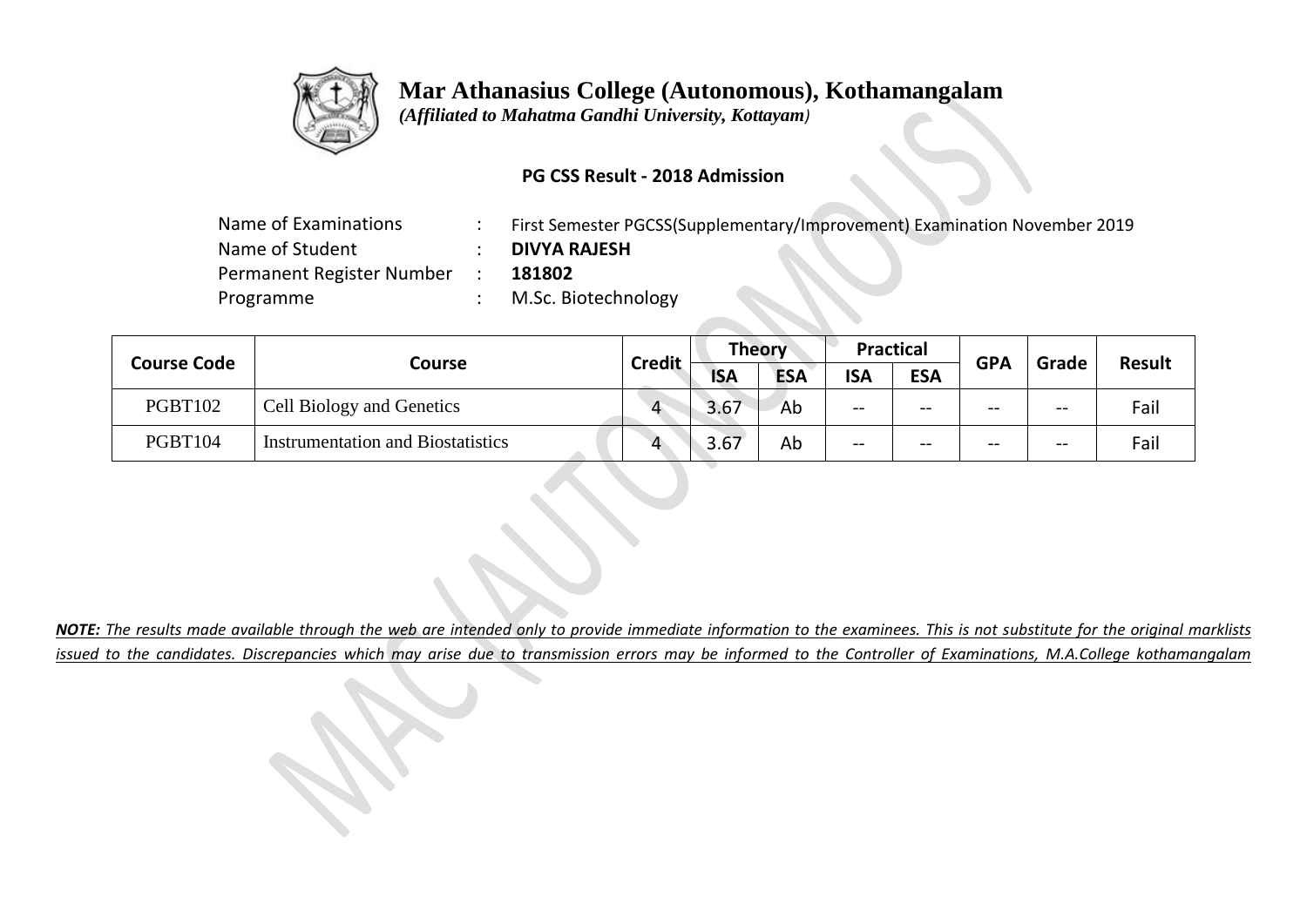

 *(Affiliated to Mahatma Gandhi University, Kottayam)*

### **PG CSS Result - 2018 Admission**

| Name of Examinations      | First Semester PGCSS(Supplementary/Improvement) Examination November 2019 |
|---------------------------|---------------------------------------------------------------------------|
| Name of Student           | <b>DIVYA RAJESH</b>                                                       |
| Permanent Register Number | 181802                                                                    |
| Programme                 | M.Sc. Biotechnology                                                       |
|                           |                                                                           |

| <b>Course Code</b> |                                          |               | <b>Theory</b> |            | <b>Practical</b> |            | <b>GPA</b> | Grade | Result |
|--------------------|------------------------------------------|---------------|---------------|------------|------------------|------------|------------|-------|--------|
|                    | Course                                   | <b>Credit</b> | <b>ISA</b>    | <b>ESA</b> | <b>ISA</b>       | <b>ESA</b> |            |       |        |
| <b>PGBT102</b>     | Cell Biology and Genetics                |               | 3.67          | Ab         | $- -$            | $- -$      | --         | $- -$ | Fail   |
| <b>PGBT104</b>     | <b>Instrumentation and Biostatistics</b> |               | 3.67          | Ab         | --               | $- -$      | --         | $- -$ | Fail   |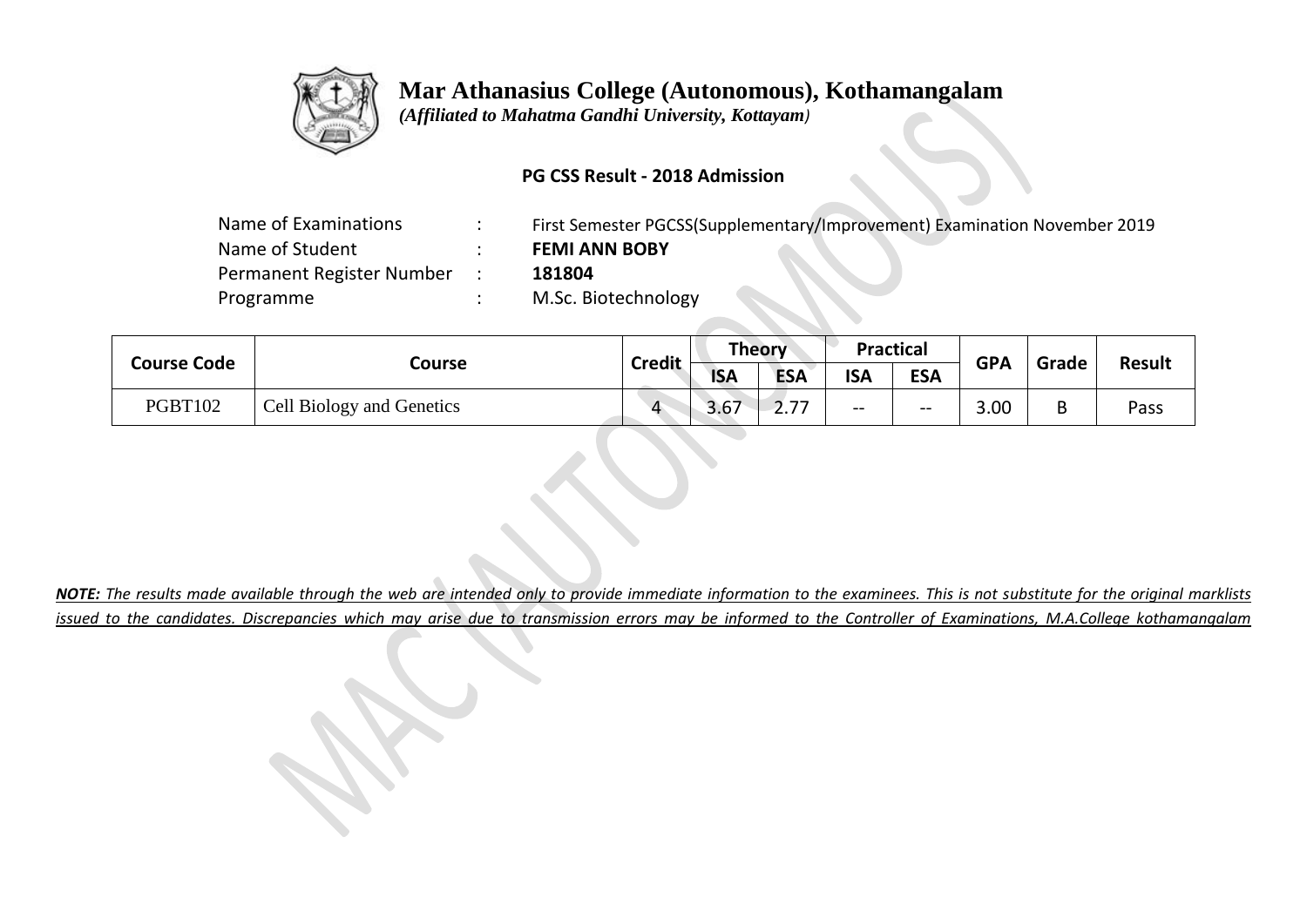

 *(Affiliated to Mahatma Gandhi University, Kottayam)*

### **PG CSS Result - 2018 Admission**

| Name of Examinations      | First Semester PGCSS(Supplementary/Improvement) Examination November 2019 |
|---------------------------|---------------------------------------------------------------------------|
| Name of Student           | <b>FEMI ANN BOBY</b>                                                      |
| Permanent Register Number | 181804                                                                    |
| Programme                 | M.Sc. Biotechnology                                                       |
|                           |                                                                           |

|  | <b>Course Code</b> |                                  | <b>Credit</b> | Theory       |            | <b>Practical</b> |            | <b>GPA</b> | Grade | <b>Result</b> |
|--|--------------------|----------------------------------|---------------|--------------|------------|------------------|------------|------------|-------|---------------|
|  |                    | Course                           |               | <b>ISA</b>   | <b>ESA</b> | <b>ISA</b>       | <b>ESA</b> |            |       |               |
|  | PGBT102            | <b>Cell Biology and Genetics</b> |               | די ר<br>3.b/ | <b>4.7</b> | $- -$            | $-\,-$     | 3.00       | B     | Pass          |